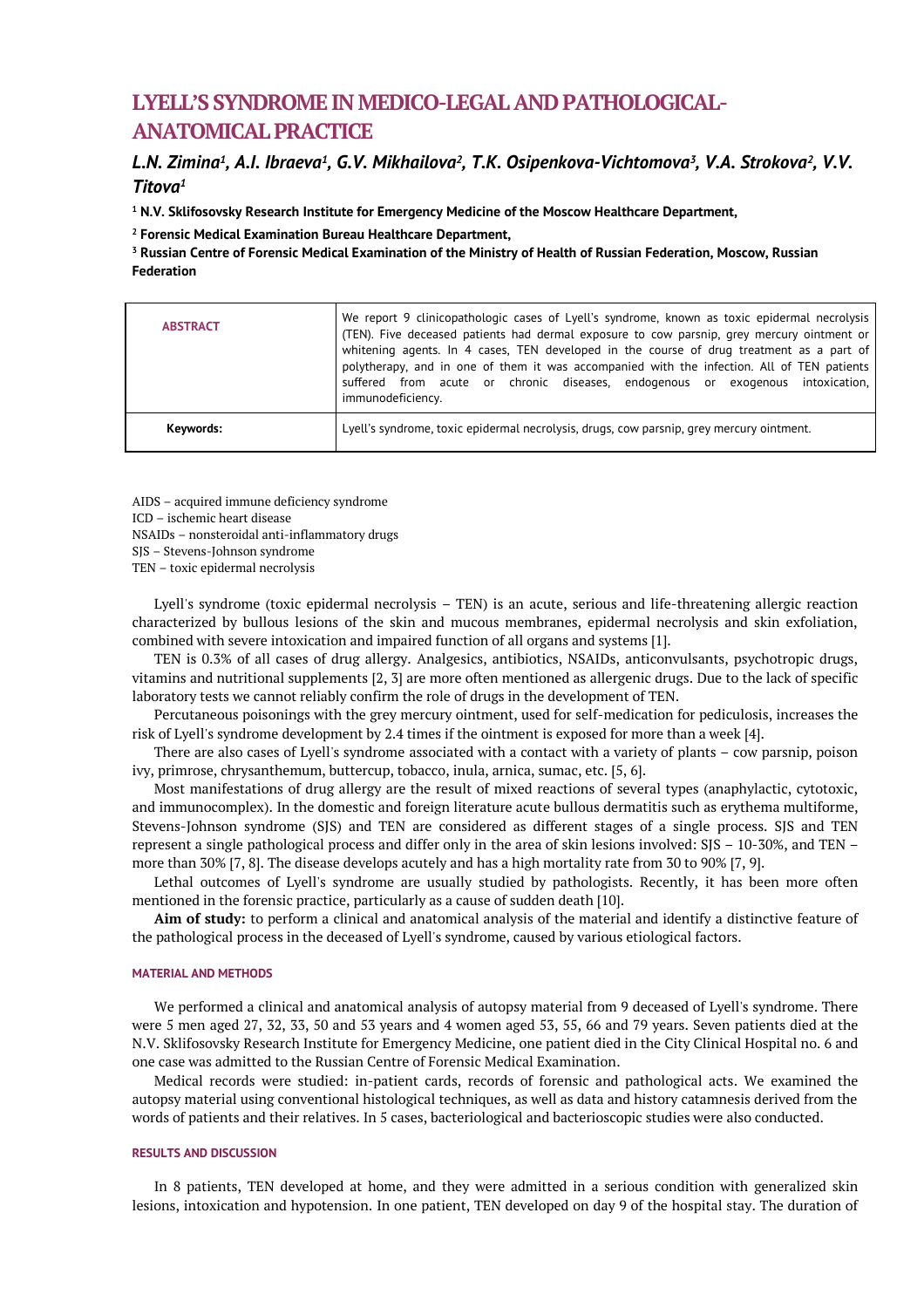# **LYELL'S SYNDROME IN MEDICO-LEGAL AND PATHOLOGICAL-ANATOMICAL PRACTICE**

# *L.N. Zimina<sup>1</sup> , A.I. Ibraeva<sup>1</sup> , G.V. Mikhailova<sup>2</sup> , T.K. Osipenkova-Vichtomova<sup>3</sup> , V.A. Strokova<sup>2</sup> , V.V. Titova<sup>1</sup>*

**<sup>1</sup> N.V. Sklifosovsky Research Institute for Emergency Medicine of the Moscow Healthcare Department,** 

**<sup>2</sup> Forensic Medical Examination Bureau Healthcare Department,** 

**<sup>3</sup> Russian Centre of Forensic Medical Examination of the Ministry of Health of Russian Federation, Moscow, Russian Federation**

| <b>ABSTRACT</b> | We report 9 clinicopathologic cases of Lyell's syndrome, known as toxic epidermal necrolysis<br>(TEN). Five deceased patients had dermal exposure to cow parsnip, grey mercury ointment or<br>whitening agents. In 4 cases, TEN developed in the course of drug treatment as a part of<br>polytherapy, and in one of them it was accompanied with the infection. All of TEN patients<br>suffered from acute or chronic diseases, endogenous or exogenous intoxication,<br>immunodeficiency. |
|-----------------|---------------------------------------------------------------------------------------------------------------------------------------------------------------------------------------------------------------------------------------------------------------------------------------------------------------------------------------------------------------------------------------------------------------------------------------------------------------------------------------------|
| Keywords:       | Lyell's syndrome, toxic epidermal necrolysis, drugs, cow parsnip, grey mercury ointment.                                                                                                                                                                                                                                                                                                                                                                                                    |

AIDS – acquired immune deficiency syndrome ICD – ischemic heart disease NSAIDs – nonsteroidal anti-inflammatory drugs SJS – Stevens-Johnson syndrome TEN – toxic epidermal necrolysis

Lyell's syndrome (toxic epidermal necrolysis – TEN) is an acute, serious and life-threatening allergic reaction characterized by bullous lesions of the skin and mucous membranes, epidermal necrolysis and skin exfoliation, combined with severe intoxication and impaired function of all organs and systems [1].

TEN is 0.3% of all cases of drug allergy. Analgesics, antibiotics, NSAIDs, anticonvulsants, psychotropic drugs, vitamins and nutritional supplements [2, 3] are more often mentioned as allergenic drugs. Due to the lack of specific laboratory tests we cannot reliably confirm the role of drugs in the development of TEN.

Percutaneous poisonings with the grey mercury ointment, used for self-medication for pediculosis, increases the risk of Lyell's syndrome development by 2.4 times if the ointment is exposed for more than a week [4].

There are also cases of Lyell's syndrome associated with a contact with a variety of plants – cow parsnip, poison ivy, primrose, chrysanthemum, buttercup, tobacco, inula, arnica, sumac, etc. [5, 6].

Most manifestations of drug allergy are the result of mixed reactions of several types (anaphylactic, cytotoxic, and immunocomplex). In the domestic and foreign literature acute bullous dermatitis such as erythema multiforme, Stevens-Johnson syndrome (SJS) and TEN are considered as different stages of a single process. SJS and TEN represent a single pathological process and differ only in the area of skin lesions involved: SJS – 10-30%, and TEN – more than 30% [7, 8]. The disease develops acutely and has a high mortality rate from 30 to 90% [7, 9].

Lethal outcomes of Lyell's syndrome are usually studied by pathologists. Recently, it has been more often mentioned in the forensic practice, particularly as a cause of sudden death [10].

**Aim of study:** to perform a clinical and anatomical analysis of the material and identify a distinctive feature of the pathological process in the deceased of Lyell's syndrome, caused by various etiological factors.

### **MATERIAL AND METHODS**

We performed a clinical and anatomical analysis of autopsy material from 9 deceased of Lyell's syndrome. There were 5 men aged 27, 32, 33, 50 and 53 years and 4 women aged 53, 55, 66 and 79 years. Seven patients died at the N.V. Sklifosovsky Research Institute for Emergency Medicine, one patient died in the City Clinical Hospital no. 6 and one case was admitted to the Russian Centre of Forensic Medical Examination.

Medical records were studied: in-patient cards, records of forensic and pathological acts. We examined the autopsy material using conventional histological techniques, as well as data and history catamnesis derived from the words of patients and their relatives. In 5 cases, bacteriological and bacterioscopic studies were also conducted.

# **RESULTS AND DISCUSSION**

In 8 patients, TEN developed at home, and they were admitted in a serious condition with generalized skin lesions, intoxication and hypotension. In one patient, TEN developed on day 9 of the hospital stay. The duration of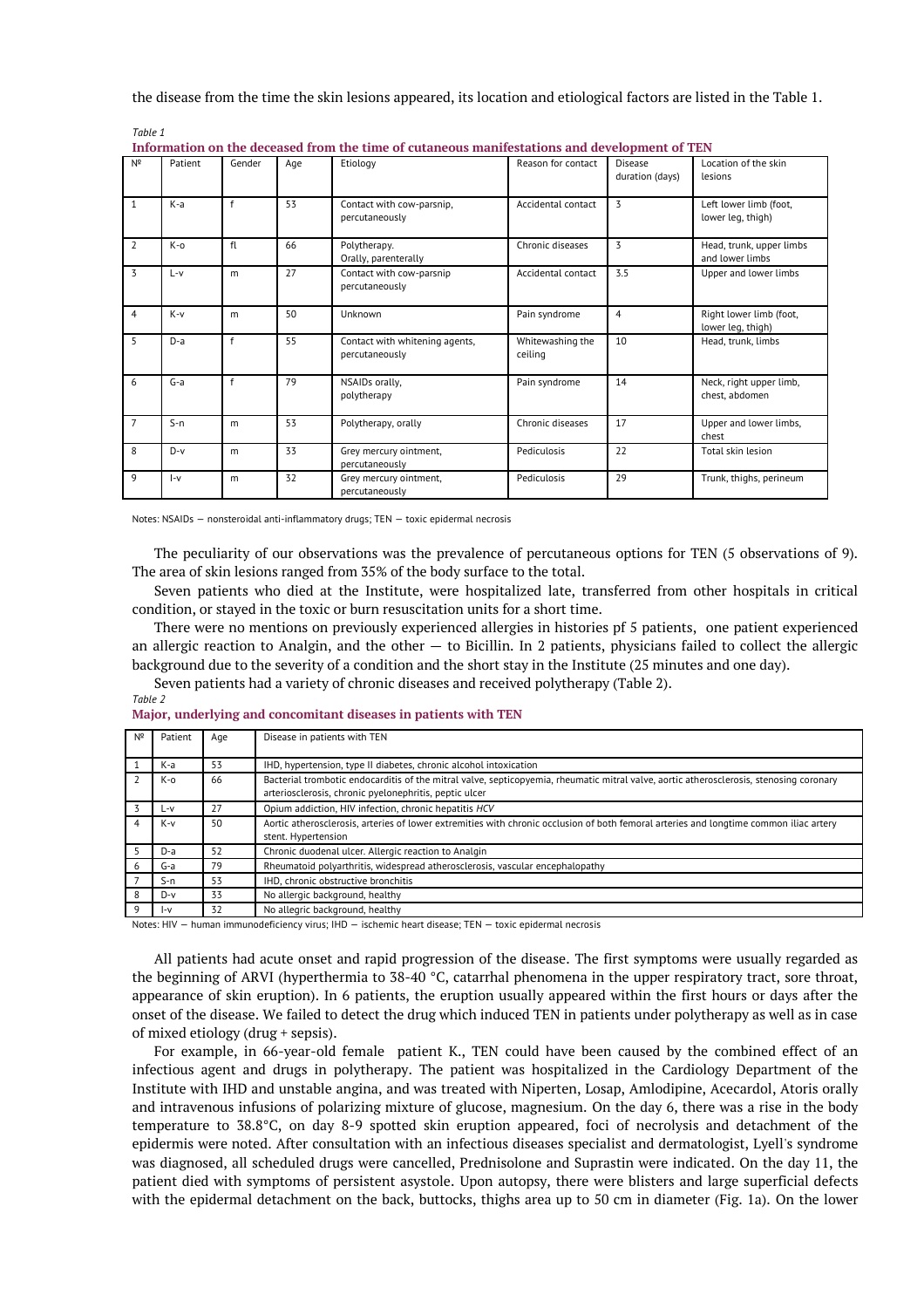the disease from the time the skin lesions appeared, its location and etiological factors are listed in the Table 1.

| Information on the deceased from the time of cutaneous manifestations and development of TEN |         |        |     |                                                  |                             |                            |                                              |
|----------------------------------------------------------------------------------------------|---------|--------|-----|--------------------------------------------------|-----------------------------|----------------------------|----------------------------------------------|
| Nº                                                                                           | Patient | Gender | Age | Etiology                                         | Reason for contact          | Disease<br>duration (days) | Location of the skin<br>lesions              |
| $\mathbf{1}$                                                                                 | K-a     | f      | 53  | Contact with cow-parsnip,<br>percutaneously      | Accidental contact          | 3                          | Left lower limb (foot,<br>lower leg, thigh)  |
| $\overline{2}$                                                                               | K-o     | fl     | 66  | Polytherapy.<br>Orally, parenterally             | Chronic diseases            | 3                          | Head, trunk, upper limbs<br>and lower limbs  |
| 3                                                                                            | $L - V$ | m      | 27  | Contact with cow-parsnip<br>percutaneously       | Accidental contact          | 3.5                        | Upper and lower limbs                        |
| $\overline{4}$                                                                               | $K-v$   | m      | 50  | Unknown                                          | Pain syndrome               | 4                          | Right lower limb (foot,<br>lower leg, thigh) |
| 5                                                                                            | $D-a$   | f      | 55  | Contact with whitening agents,<br>percutaneously | Whitewashing the<br>ceiling | 10                         | Head, trunk, limbs                           |
| 6                                                                                            | $G-a$   | f      | 79  | NSAIDs orally,<br>polytherapy                    | Pain syndrome               | 14                         | Neck, right upper limb,<br>chest, abdomen    |
| $\overline{7}$                                                                               | $S-n$   | m      | 53  | Polytherapy, orally                              | Chronic diseases            | 17                         | Upper and lower limbs,<br>chest              |
| 8                                                                                            | $D-v$   | m      | 33  | Grey mercury ointment,<br>percutaneously         | Pediculosis                 | 22                         | Total skin lesion                            |
| 9                                                                                            | l-v     | m      | 32  | Grey mercury ointment,<br>percutaneously         | Pediculosis                 | 29                         | Trunk, thighs, perineum                      |

Notes: NSAIDs — nonsteroidal anti-inflammatory drugs; TEN — toxic epidermal necrosis

The peculiarity of our observations was the prevalence of percutaneous options for TEN (5 observations of 9). The area of skin lesions ranged from 35% of the body surface to the total.

Seven patients who died at the Institute, were hospitalized late, transferred from other hospitals in critical condition, or stayed in the toxic or burn resuscitation units for a short time.

There were no mentions on previously experienced allergies in histories pf 5 patients, one patient experienced an allergic reaction to Analgin, and the other — to Bicillin. In 2 patients, physicians failed to collect the allergic background due to the severity of a condition and the short stay in the Institute (25 minutes and one day).

Seven patients had a variety of chronic diseases and received polytherapy (Table 2).

*Table 2*

*Table 1*

**Major, underlying and concomitant diseases in patients with TEN**

| Nº | Patient | Age | Disease in patients with TEN                                                                                                            |
|----|---------|-----|-----------------------------------------------------------------------------------------------------------------------------------------|
|    | K-a     | 53  | IHD, hypertension, type II diabetes, chronic alcohol intoxication                                                                       |
|    | K-o     | 66  | Bacterial trombotic endocarditis of the mitral valve, septicopyemia, rheumatic mitral valve, aortic atherosclerosis, stenosing coronary |
|    |         |     | arteriosclerosis, chronic pyelonephritis, peptic ulcer                                                                                  |
|    | L-v     | 27  | Opium addiction, HIV infection, chronic hepatitis HCV                                                                                   |
|    | $K-v$   | 50  | Aortic atherosclerosis, arteries of lower extremities with chronic occlusion of both femoral arteries and longtime common iliac artery  |
|    |         |     | stent. Hypertension                                                                                                                     |
|    | $D-a$   | 52  | Chronic duodenal ulcer. Allergic reaction to Analgin                                                                                    |
| 6  | G-a     | 79  | Rheumatoid polyarthritis, widespread atherosclerosis, vascular encephalopathy                                                           |
|    | $S-n$   | 53  | IHD, chronic obstructive bronchitis                                                                                                     |
| 8  | $D-v$   | 33  | No allergic background, healthy                                                                                                         |
| 9  | l-v     | 32  | No allegric background, healthy                                                                                                         |

Notes: HIV — human immunodeficiency virus; IHD — ischemic heart disease; TEN — toxic epidermal necrosis

All patients had acute onset and rapid progression of the disease. The first symptoms were usually regarded as the beginning of ARVI (hyperthermia to 38-40 °C, catarrhal phenomena in the upper respiratory tract, sore throat, appearance of skin eruption). In 6 patients, the eruption usually appeared within the first hours or days after the onset of the disease. We failed to detect the drug which induced TEN in patients under polytherapy as well as in case of mixed etiology (drug + sepsis).

For example, in 66-year-old female patient K., TEN could have been caused by the combined effect of an infectious agent and drugs in polytherapy. The patient was hospitalized in the Cardiology Department of the Institute with IHD and unstable angina, and was treated with Niperten, Losap, Amlodipine, Acecardol, Atoris orally and intravenous infusions of polarizing mixture of glucose, magnesium. On the day 6, there was a rise in the body temperature to 38.8°C, on day 8-9 spotted skin eruption appeared, foci of necrolysis and detachment of the epidermis were noted. After consultation with an infectious diseases specialist and dermatologist, Lyell's syndrome was diagnosed, all scheduled drugs were cancelled, Prednisolone and Suprastin were indicated. On the day 11, the patient died with symptoms of persistent asystole. Upon autopsy, there were blisters and large superficial defects with the epidermal detachment on the back, buttocks, thighs area up to 50 cm in diameter (Fig. 1a). On the lower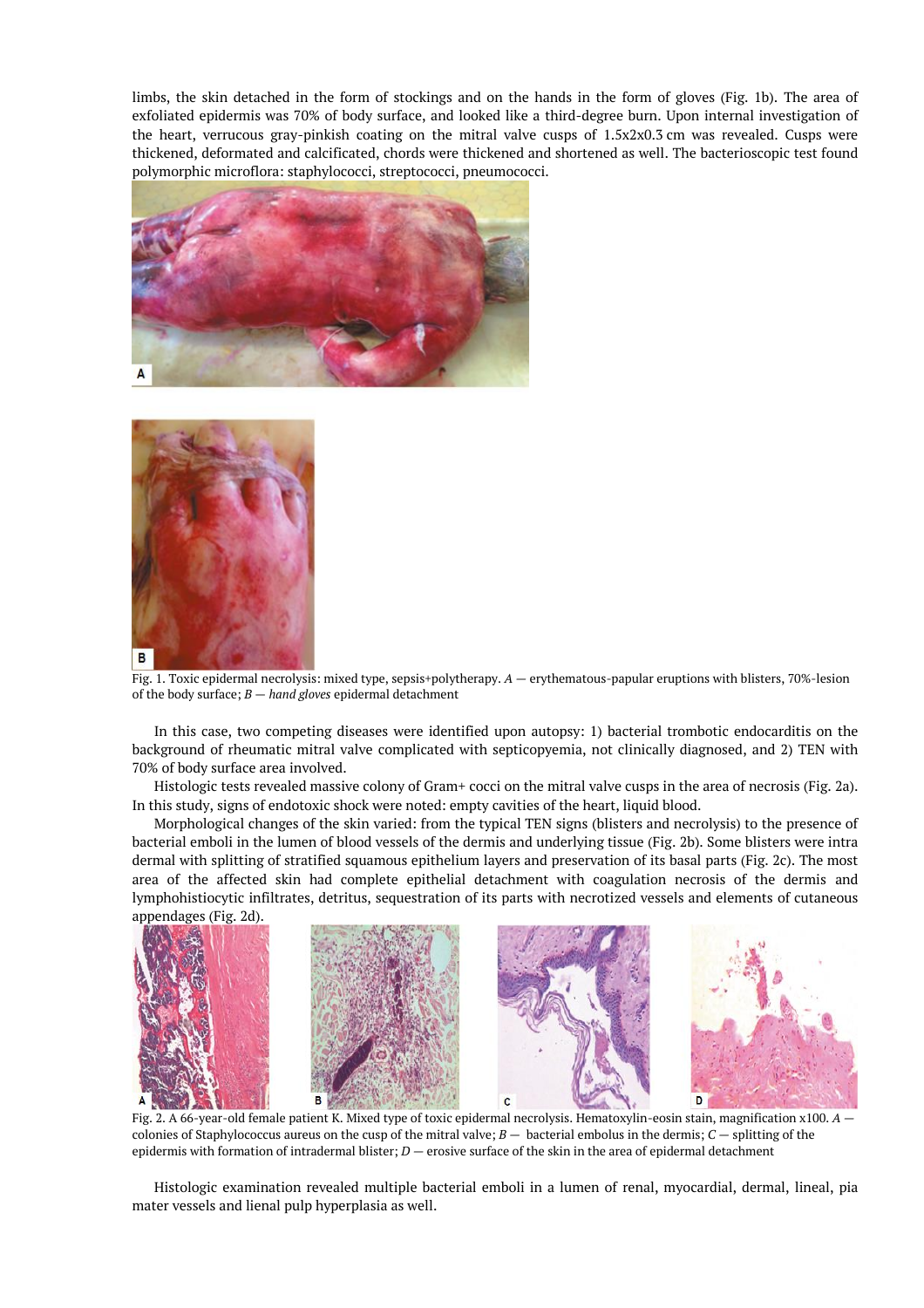limbs, the skin detached in the form of stockings and on the hands in the form of gloves (Fig. 1b). The area of exfoliated epidermis was 70% of body surface, and looked like a third-degree burn. Upon internal investigation of the heart, verrucous gray-pinkish coating on the mitral valve cusps of 1.5х2х0.3 cm was revealed. Cusps were thickened, deformated and calcificated, chords were thickened and shortened as well. The bacterioscopic test found polymorphic microflora: staphylococci, streptococci, pneumococci.





Fig. 1. Toxic epidermal necrolysis: mixed type, sepsis+polytherapy. *A —* erythematous-papular eruptions with blisters, 70%-lesion of the body surface; *B* — *hand gloves* epidermal detachment

In this case, two competing diseases were identified upon autopsy: 1) bacterial trombotic endocarditis on the background of rheumatic mitral valve complicated with septicopyemia, not clinically diagnosed, and 2) TEN with 70% of body surface area involved.

Histologic tests revealed massive colony of Gram+ cocci on the mitral valve cusps in the area of necrosis (Fig. 2a). In this study, signs of endotoxic shock were noted: empty cavities of the heart, liquid blood.

Morphological changes of the skin varied: from the typical TEN signs (blisters and necrolysis) to the presence of bacterial emboli in the lumen of blood vessels of the dermis and underlying tissue (Fig. 2b). Some blisters were intra dermal with splitting of stratified squamous epithelium layers and preservation of its basal parts (Fig. 2c). The most area of the affected skin had complete epithelial detachment with coagulation necrosis of the dermis and lymphohistiocytic infiltrates, detritus, sequestration of its parts with necrotized vessels and elements of cutaneous appendages (Fig. 2d).



Fig. 2. A 66-year-old female patient K. Mixed type of toxic epidermal necrolysis. Hematoxylin-eosin stain, magnification x100. *A*  colonies of Staphylococcus aureus on the cusp of the mitral valve; *B —* bacterial embolus in the dermis; *C —* splitting of the epidermis with formation of intradermal blister; *D —* erosive surface of the skin in the area of epidermal detachment

Histologic examination revealed multiple bacterial emboli in a lumen of renal, myocardial, dermal, lineal, pia mater vessels and lienal pulp hyperplasia as well.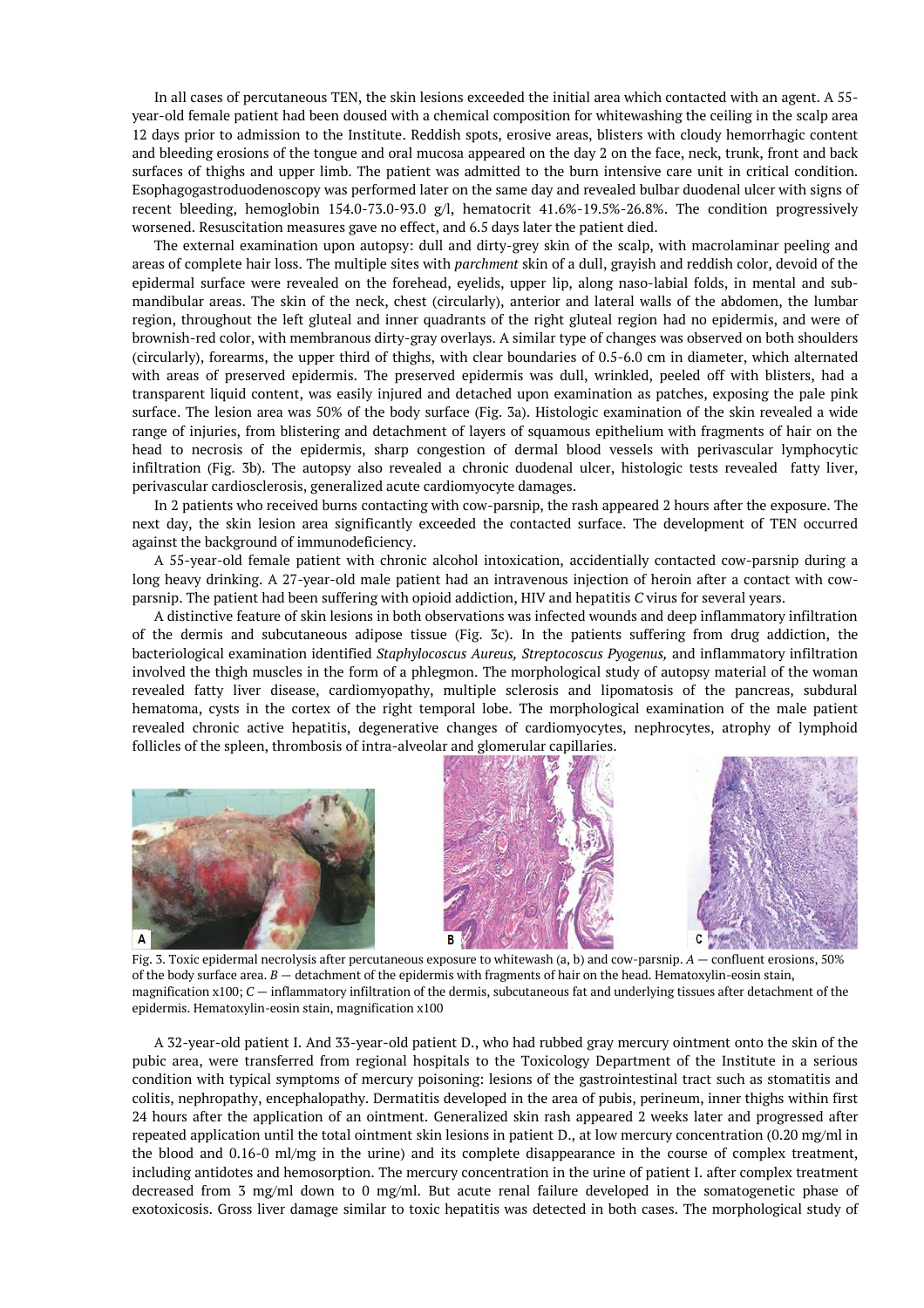In all cases of percutaneous TEN, the skin lesions exceeded the initial area which contacted with an agent. A 55 year-old female patient had been doused with a chemical composition for whitewashing the ceiling in the scalp area 12 days prior to admission to the Institute. Reddish spots, erosive areas, blisters with cloudy hemorrhagic content and bleeding erosions of the tongue and oral mucosa appeared on the day 2 on the face, neck, trunk, front and back surfaces of thighs and upper limb. The patient was admitted to the burn intensive care unit in critical condition. Esophagogastroduodenoscopy was performed later on the same day and revealed bulbar duodenal ulcer with signs of recent bleeding, hemoglobin 154.0-73.0-93.0 g/l, hematocrit 41.6%-19.5%-26.8%. The condition progressively worsened. Resuscitation measures gave no effect, and 6.5 days later the patient died.

The external examination upon autopsy: dull and dirty-grey skin of the scalp, with macrolaminar peeling and areas of complete hair loss. The multiple sites with *parchment* skin of a dull, grayish and reddish color, devoid of the epidermal surface were revealed on the forehead, eyelids, upper lip, along naso-labial folds, in mental and submandibular areas. The skin of the neck, chest (circularly), anterior and lateral walls of the abdomen, the lumbar region, throughout the left gluteal and inner quadrants of the right gluteal region had no epidermis, and were of brownish-red color, with membranous dirty-gray overlays. A similar type of changes was observed on both shoulders (circularly), forearms, the upper third of thighs, with clear boundaries of 0.5-6.0 cm in diameter, which alternated with areas of preserved epidermis. The preserved epidermis was dull, wrinkled, peeled off with blisters, had a transparent liquid content, was easily injured and detached upon examination as patches, exposing the pale pink surface. The lesion area was 50% of the body surface (Fig. 3a). Histologic examination of the skin revealed a wide range of injuries, from blistering and detachment of layers of squamous epithelium with fragments of hair on the head to necrosis of the epidermis, sharp congestion of dermal blood vessels with perivascular lymphocytic infiltration (Fig. 3b). The autopsy also revealed a chronic duodenal ulcer, histologic tests revealed fatty liver, perivascular cardiosclerosis, generalized acute cardiomyocyte damages.

In 2 patients who received burns contacting with cow-parsnip, the rash appeared 2 hours after the exposure. The next day, the skin lesion area significantly exceeded the contacted surface. The development of TEN occurred against the background of immunodeficiency.

A 55-year-old female patient with chronic alcohol intoxication, accidentially contacted cow-parsnip during a long heavy drinking. A 27-year-old male patient had an intravenous injection of heroin after a contact with cowparsnip. The patient had been suffering with opioid addiction, HIV and hepatitis *C* virus for several years.

A distinctive feature of skin lesions in both observations was infected wounds and deep inflammatory infiltration of the dermis and subcutaneous adipose tissue (Fig. 3c). In the patients suffering from drug addiction, the bacteriological examination identified *Staphylocoscus Aureus, Streptocoscus Pyogenus,* and inflammatory infiltration involved the thigh muscles in the form of a phlegmon. The morphological study of autopsy material of the woman revealed fatty liver disease, cardiomyopathy, multiple sclerosis and lipomatosis of the pancreas, subdural hematoma, cysts in the cortex of the right temporal lobe. The morphological examination of the male patient revealed chronic active hepatitis, degenerative changes of cardiomyocytes, nephrocytes, atrophy of lymphoid follicles of the spleen, thrombosis of intra-alveolar and glomerular capillaries.





Fig. 3. Toxic epidermal necrolysis after percutaneous exposure to whitewash (a, b) and cow-parsnip. *A —* confluent erosions, 50% of the body surface area. *B —* detachment of the epidermis with fragments of hair on the head. Hematoxylin-eosin stain, magnification x100; *C —* inflammatory infiltration of the dermis, subcutaneous fat and underlying tissues after detachment of the epidermis. Hematoxylin-eosin stain, magnification x100

A 32-year-old patient I. And 33-year-old patient D., who had rubbed gray mercury ointment onto the skin of the pubic area, were transferred from regional hospitals to the Toxicology Department of the Institute in a serious condition with typical symptoms of mercury poisoning: lesions of the gastrointestinal tract such as stomatitis and colitis, nephropathy, encephalopathy. Dermatitis developed in the area of pubis, perineum, inner thighs within first 24 hours after the application of an ointment. Generalized skin rash appeared 2 weeks later and progressed after repeated application until the total ointment skin lesions in patient D., at low mercury concentration (0.20 mg/ml in the blood and 0.16-0 ml/mg in the urine) and its complete disappearance in the course of complex treatment, including antidotes and hemosorption. The mercury concentration in the urine of patient I. after complex treatment decreased from 3 mg/ml down to 0 mg/ml. But acute renal failure developed in the somatogenetic phase of exotoxicosis. Gross liver damage similar to toxic hepatitis was detected in both cases. The morphological study of